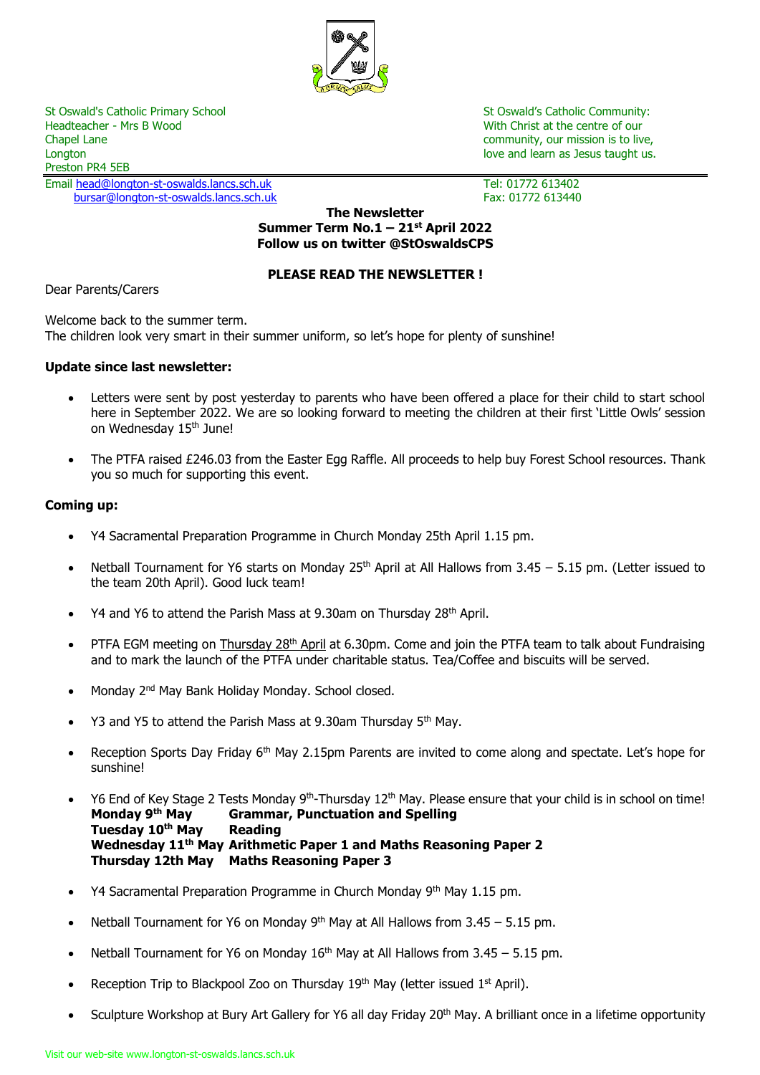

St Oswald's Catholic Primary School St Oswald's Catholic Community:<br>
Headteacher - Mrs B Wood St Oswald's Catholic Community:<br>
With Christ at the centre of our Chapel Lane community, our mission is to live, Longton love and learn as Jesus taught us. Longton love and learn as Jesus taught us. Preston PR4 5EB

Email [head@longton-st-oswalds.lancs.sch.uk](mailto:head@longton-st-oswalds.lancs.sch.uk) Tel: 01772 613402 [bursar@longton-st-oswalds.lancs.sch.uk](mailto:bursar@longton-st-oswalds.lancs.sch.uk) Fax: 01772 613440

With Christ at the centre of our

**The Newsletter Summer Term No.1 – 21 st April 2022 Follow us on twitter @StOswaldsCPS**

# **PLEASE READ THE NEWSLETTER !**

Dear Parents/Carers

Welcome back to the summer term. The children look very smart in their summer uniform, so let's hope for plenty of sunshine!

## **Update since last newsletter:**

- Letters were sent by post yesterday to parents who have been offered a place for their child to start school here in September 2022. We are so looking forward to meeting the children at their first 'Little Owls' session on Wednesday 15<sup>th</sup> June!
- The PTFA raised £246.03 from the Easter Egg Raffle. All proceeds to help buy Forest School resources. Thank you so much for supporting this event.

## **Coming up:**

- Y4 Sacramental Preparation Programme in Church Monday 25th April 1.15 pm.
- Netball Tournament for Y6 starts on Monday 25<sup>th</sup> April at All Hallows from 3.45 5.15 pm. (Letter issued to the team 20th April). Good luck team!
- Y4 and Y6 to attend the Parish Mass at 9.30am on Thursday 28<sup>th</sup> April.
- PTFA EGM meeting on Thursday 28<sup>th</sup> April at 6.30pm. Come and join the PTFA team to talk about Fundraising and to mark the launch of the PTFA under charitable status. Tea/Coffee and biscuits will be served.
- Monday 2<sup>nd</sup> May Bank Holiday Monday. School closed.
- Y3 and Y5 to attend the Parish Mass at 9.30am Thursday 5<sup>th</sup> May.
- Reception Sports Day Friday 6<sup>th</sup> May 2.15pm Parents are invited to come along and spectate. Let's hope for sunshine!
- Y6 End of Key Stage 2 Tests Monday 9<sup>th</sup>-Thursday 12<sup>th</sup> May. Please ensure that your child is in school on time!<br>**Monday 9<sup>th</sup> May Grammar, Punctuation and Spelling Monday 9th May Grammar, Punctuation and Spelling Tuesday 10th May Reading Wednesday 11th May Arithmetic Paper 1 and Maths Reasoning Paper 2 Thursday 12th May Maths Reasoning Paper 3**
- Y4 Sacramental Preparation Programme in Church Monday 9<sup>th</sup> May 1.15 pm.
- Netball Tournament for Y6 on Monday 9<sup>th</sup> May at All Hallows from  $3.45 5.15$  pm.
- Netball Tournament for Y6 on Monday  $16<sup>th</sup>$  May at All Hallows from 3.45 5.15 pm.
- Reception Trip to Blackpool Zoo on Thursday  $19<sup>th</sup>$  May (letter issued  $1<sup>st</sup>$  April).
- Sculpture Workshop at Bury Art Gallery for Y6 all day Friday 20<sup>th</sup> May. A brilliant once in a lifetime opportunity